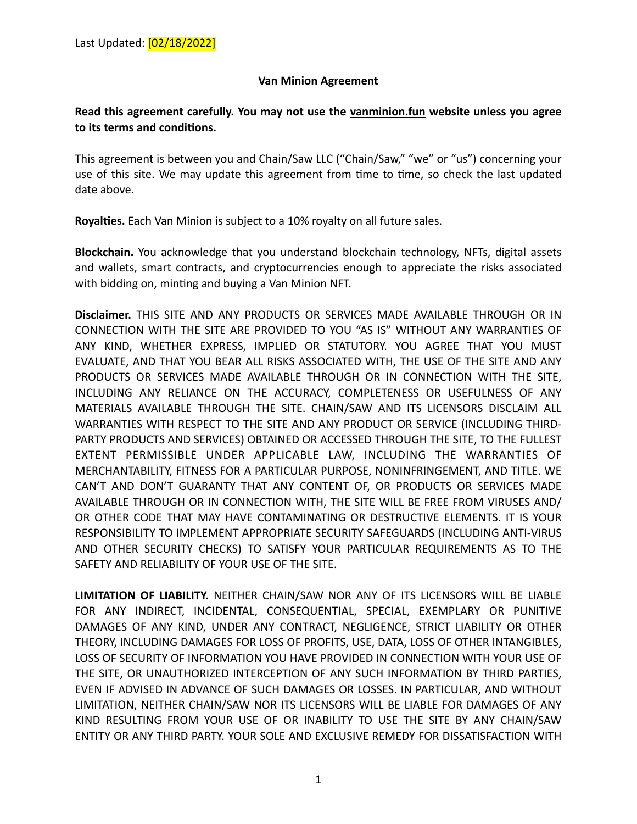## **Van Minion Agreement**

## **Read this agreement carefully. You may not use the vanminion.fun website unless you agree**  to its terms and conditions.

This agreement is between you and Chain/Saw LLC ("Chain/Saw," "we" or "us") concerning your use of this site. We may update this agreement from time to time, so check the last updated date above.

**Royalties.** Each Van Minion is subject to a 10% royalty on all future sales.

**Blockchain.** You acknowledge that you understand blockchain technology, NFTs, digital assets and wallets, smart contracts, and cryptocurrencies enough to appreciate the risks associated with bidding on, minting and buying a Van Minion NFT.

**Disclaimer.** THIS SITE AND ANY PRODUCTS OR SERVICES MADE AVAILABLE THROUGH OR IN CONNECTION WITH THE SITE ARE PROVIDED TO YOU "AS IS" WITHOUT ANY WARRANTIES OF ANY KIND, WHETHER EXPRESS, IMPLIED OR STATUTORY. YOU AGREE THAT YOU MUST EVALUATE, AND THAT YOU BEAR ALL RISKS ASSOCIATED WITH, THE USE OF THE SITE AND ANY PRODUCTS OR SERVICES MADE AVAILABLE THROUGH OR IN CONNECTION WITH THE SITE, INCLUDING ANY RELIANCE ON THE ACCURACY, COMPLETENESS OR USEFULNESS OF ANY MATERIALS AVAILABLE THROUGH THE SITE. CHAIN/SAW AND ITS LICENSORS DISCLAIM ALL WARRANTIES WITH RESPECT TO THE SITE AND ANY PRODUCT OR SERVICE (INCLUDING THIRD-PARTY PRODUCTS AND SERVICES) OBTAINED OR ACCESSED THROUGH THE SITE, TO THE FULLEST EXTENT PERMISSIBLE UNDER APPLICABLE LAW, INCLUDING THE WARRANTIES OF MERCHANTABILITY, FITNESS FOR A PARTICULAR PURPOSE, NONINFRINGEMENT, AND TITLE. WE CAN'T AND DON'T GUARANTY THAT ANY CONTENT OF, OR PRODUCTS OR SERVICES MADE AVAILABLE THROUGH OR IN CONNECTION WITH, THE SITE WILL BE FREE FROM VIRUSES AND/ OR OTHER CODE THAT MAY HAVE CONTAMINATING OR DESTRUCTIVE ELEMENTS. IT IS YOUR RESPONSIBILITY TO IMPLEMENT APPROPRIATE SECURITY SAFEGUARDS (INCLUDING ANTI-VIRUS AND OTHER SECURITY CHECKS) TO SATISFY YOUR PARTICULAR REQUIREMENTS AS TO THE SAFETY AND RELIABILITY OF YOUR USE OF THE SITE.

**LIMITATION OF LIABILITY.** NEITHER CHAIN/SAW NOR ANY OF ITS LICENSORS WILL BE LIABLE FOR ANY INDIRECT, INCIDENTAL, CONSEQUENTIAL, SPECIAL, EXEMPLARY OR PUNITIVE DAMAGES OF ANY KIND, UNDER ANY CONTRACT, NEGLIGENCE, STRICT LIABILITY OR OTHER THEORY, INCLUDING DAMAGES FOR LOSS OF PROFITS, USE, DATA, LOSS OF OTHER INTANGIBLES, LOSS OF SECURITY OF INFORMATION YOU HAVE PROVIDED IN CONNECTION WITH YOUR USE OF THE SITE, OR UNAUTHORIZED INTERCEPTION OF ANY SUCH INFORMATION BY THIRD PARTIES, EVEN IF ADVISED IN ADVANCE OF SUCH DAMAGES OR LOSSES. IN PARTICULAR, AND WITHOUT LIMITATION, NEITHER CHAIN/SAW NOR ITS LICENSORS WILL BE LIABLE FOR DAMAGES OF ANY KIND RESULTING FROM YOUR USE OF OR INABILITY TO USE THE SITE BY ANY CHAIN/SAW ENTITY OR ANY THIRD PARTY. YOUR SOLE AND EXCLUSIVE REMEDY FOR DISSATISFACTION WITH